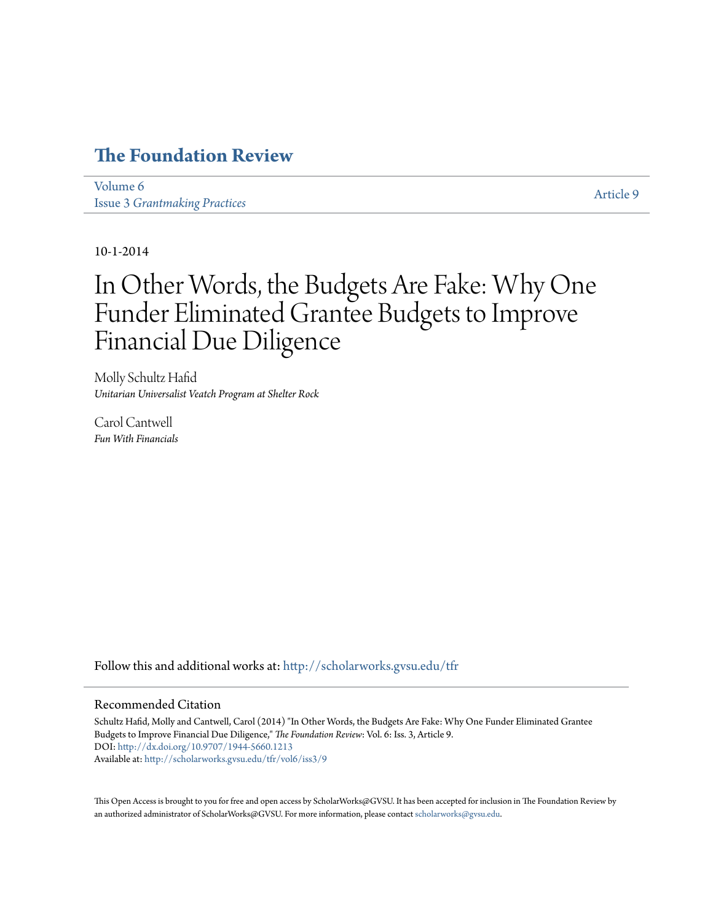### **[The Foundation Review](http://scholarworks.gvsu.edu/tfr?utm_source=scholarworks.gvsu.edu%2Ftfr%2Fvol6%2Fiss3%2F9&utm_medium=PDF&utm_campaign=PDFCoverPages)**

[Volume 6](http://scholarworks.gvsu.edu/tfr/vol6?utm_source=scholarworks.gvsu.edu%2Ftfr%2Fvol6%2Fiss3%2F9&utm_medium=PDF&utm_campaign=PDFCoverPages) Issue 3 *[Grantmaking Practices](http://scholarworks.gvsu.edu/tfr/vol6/iss3?utm_source=scholarworks.gvsu.edu%2Ftfr%2Fvol6%2Fiss3%2F9&utm_medium=PDF&utm_campaign=PDFCoverPages)*

[Article 9](http://scholarworks.gvsu.edu/tfr/vol6/iss3/9?utm_source=scholarworks.gvsu.edu%2Ftfr%2Fvol6%2Fiss3%2F9&utm_medium=PDF&utm_campaign=PDFCoverPages)

10-1-2014

### In Other Words, the Budgets Are Fake: Why One Funder Eliminated Grantee Budgets to Improve Financial Due Diligence

Molly Schultz Hafid *Unitarian Universalist Veatch Program at Shelter Rock*

Carol Cantwell *Fun With Financials*

Follow this and additional works at: [http://scholarworks.gvsu.edu/tfr](http://scholarworks.gvsu.edu/tfr?utm_source=scholarworks.gvsu.edu%2Ftfr%2Fvol6%2Fiss3%2F9&utm_medium=PDF&utm_campaign=PDFCoverPages)

#### Recommended Citation

Schultz Hafid, Molly and Cantwell, Carol (2014) "In Other Words, the Budgets Are Fake: Why One Funder Eliminated Grantee Budgets to Improve Financial Due Diligence," *The Foundation Review*: Vol. 6: Iss. 3, Article 9. DOI: <http://dx.doi.org/10.9707/1944-5660.1213> Available at: [http://scholarworks.gvsu.edu/tfr/vol6/iss3/9](http://scholarworks.gvsu.edu/tfr/vol6/iss3/9?utm_source=scholarworks.gvsu.edu%2Ftfr%2Fvol6%2Fiss3%2F9&utm_medium=PDF&utm_campaign=PDFCoverPages)

This Open Access is brought to you for free and open access by ScholarWorks@GVSU. It has been accepted for inclusion in The Foundation Review by an authorized administrator of ScholarWorks@GVSU. For more information, please contact [scholarworks@gvsu.edu.](mailto:scholarworks@gvsu.edu)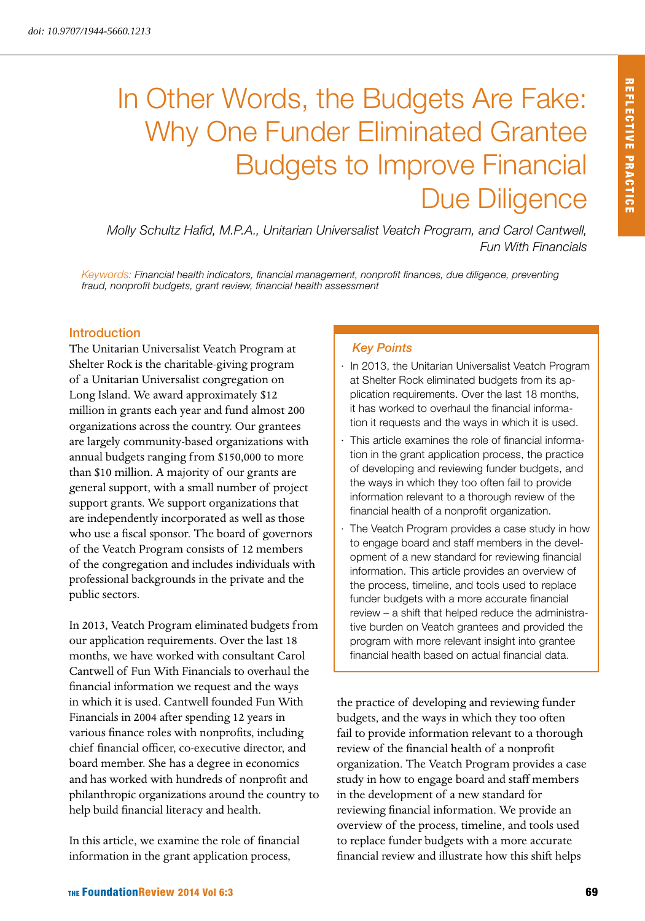## In Other Words, the Budgets Are Fake: Why One Funder Eliminated Grantee Budgets to Improve Financial Due Diligence

*Molly Schultz Hafid, M.P.A., Unitarian Universalist Veatch Program, and Carol Cantwell, Fun With Financials*

*Keywords: Financial health indicators, financial management, nonprofit finances, due diligence, preventing fraud, nonprofit budgets, grant review, financial health assessment*

#### Introduction

The Unitarian Universalist Veatch Program at Shelter Rock is the charitable-giving program of a Unitarian Universalist congregation on Long Island. We award approximately \$12 million in grants each year and fund almost 200 organizations across the country. Our grantees are largely community-based organizations with annual budgets ranging from \$150,000 to more than \$10 million. A majority of our grants are general support, with a small number of project support grants. We support organizations that are independently incorporated as well as those who use a fiscal sponsor. The board of governors of the Veatch Program consists of 12 members of the congregation and includes individuals with professional backgrounds in the private and the public sectors.

In 2013, Veatch Program eliminated budgets from our application requirements. Over the last 18 months, we have worked with consultant Carol Cantwell of Fun With Financials to overhaul the financial information we request and the ways in which it is used. Cantwell founded Fun With Financials in 2004 after spending 12 years in various finance roles with nonprofits, including chief financial officer, co-executive director, and board member. She has a degree in economics and has worked with hundreds of nonprofit and philanthropic organizations around the country to help build financial literacy and health.

In this article, we examine the role of financial information in the grant application process,

#### *Key Points*

- In 2013, the Unitarian Universalist Veatch Program at Shelter Rock eliminated budgets from its application requirements. Over the last 18 months, it has worked to overhaul the financial information it requests and the ways in which it is used.
- This article examines the role of financial information in the grant application process, the practice of developing and reviewing funder budgets, and the ways in which they too often fail to provide information relevant to a thorough review of the financial health of a nonprofit organization.
- The Veatch Program provides a case study in how to engage board and staff members in the development of a new standard for reviewing financial information. This article provides an overview of the process, timeline, and tools used to replace funder budgets with a more accurate financial review – a shift that helped reduce the administrative burden on Veatch grantees and provided the program with more relevant insight into grantee financial health based on actual financial data.

the practice of developing and reviewing funder budgets, and the ways in which they too often fail to provide information relevant to a thorough review of the financial health of a nonprofit organization. The Veatch Program provides a case study in how to engage board and staff members in the development of a new standard for reviewing financial information. We provide an overview of the process, timeline, and tools used to replace funder budgets with a more accurate financial review and illustrate how this shift helps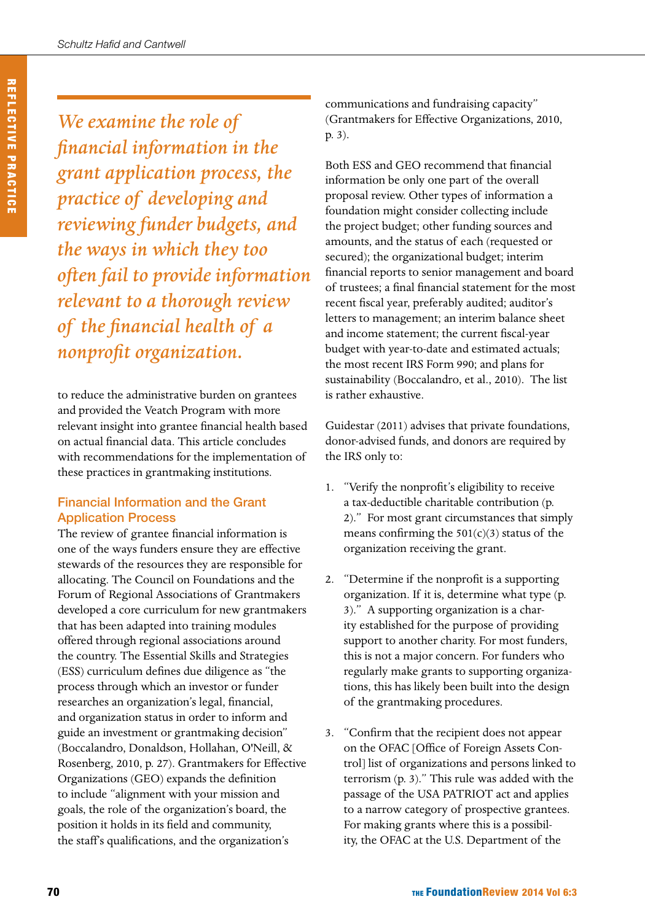*We examine the role of financial information in the grant application process, the practice of developing and reviewing funder budgets, and the ways in which they too often fail to provide information relevant to a thorough review of the financial health of a nonprofit organization.*

to reduce the administrative burden on grantees and provided the Veatch Program with more relevant insight into grantee financial health based on actual financial data. This article concludes with recommendations for the implementation of these practices in grantmaking institutions.

#### Financial Information and the Grant Application Process

The review of grantee financial information is one of the ways funders ensure they are effective stewards of the resources they are responsible for allocating. The Council on Foundations and the Forum of Regional Associations of Grantmakers developed a core curriculum for new grantmakers that has been adapted into training modules offered through regional associations around the country. The Essential Skills and Strategies (ESS) curriculum defines due diligence as "the process through which an investor or funder researches an organization's legal, financial, and organization status in order to inform and guide an investment or grantmaking decision" (Boccalandro, Donaldson, Hollahan, O'Neill, & Rosenberg, 2010, p. 27). Grantmakers for Effective Organizations (GEO) expands the definition to include "alignment with your mission and goals, the role of the organization's board, the position it holds in its field and community, the staff's qualifications, and the organization's

communications and fundraising capacity" (Grantmakers for Effective Organizations, 2010, p. 3).

Both ESS and GEO recommend that financial information be only one part of the overall proposal review. Other types of information a foundation might consider collecting include the project budget; other funding sources and amounts, and the status of each (requested or secured); the organizational budget; interim financial reports to senior management and board of trustees; a final financial statement for the most recent fiscal year, preferably audited; auditor's letters to management; an interim balance sheet and income statement; the current fiscal-year budget with year-to-date and estimated actuals; the most recent IRS Form 990; and plans for sustainability (Boccalandro, et al., 2010). The list is rather exhaustive.

Guidestar (2011) advises that private foundations, donor-advised funds, and donors are required by the IRS only to:

- 1. "Verify the nonprofit's eligibility to receive a tax-deductible charitable contribution (p. 2)." For most grant circumstances that simply means confirming the  $501(c)(3)$  status of the organization receiving the grant.
- 2. "Determine if the nonprofit is a supporting organization. If it is, determine what type (p. 3)." A supporting organization is a charity established for the purpose of providing support to another charity. For most funders, this is not a major concern. For funders who regularly make grants to supporting organizations, this has likely been built into the design of the grantmaking procedures.
- 3. "Confirm that the recipient does not appear on the OFAC [Office of Foreign Assets Control] list of organizations and persons linked to terrorism (p. 3)." This rule was added with the passage of the USA PATRIOT act and applies to a narrow category of prospective grantees. For making grants where this is a possibility, the OFAC at the U.S. Department of the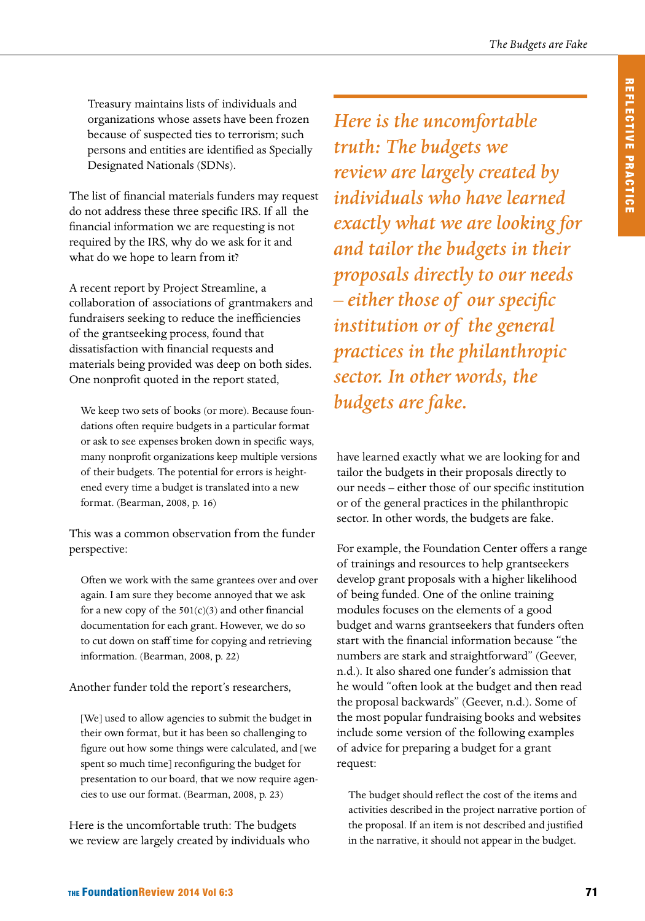Treasury maintains lists of individuals and organizations whose assets have been frozen because of suspected ties to terrorism; such persons and entities are identified as Specially Designated Nationals (SDNs).

The list of financial materials funders may request do not address these three specific IRS. If all the financial information we are requesting is not required by the IRS, why do we ask for it and what do we hope to learn from it?

A recent report by Project Streamline, a collaboration of associations of grantmakers and fundraisers seeking to reduce the inefficiencies of the grantseeking process, found that dissatisfaction with financial requests and materials being provided was deep on both sides. One nonprofit quoted in the report stated,

We keep two sets of books (or more). Because foundations often require budgets in a particular format or ask to see expenses broken down in specific ways, many nonprofit organizations keep multiple versions of their budgets. The potential for errors is heightened every time a budget is translated into a new format. (Bearman, 2008, p. 16)

This was a common observation from the funder perspective:

Often we work with the same grantees over and over again. I am sure they become annoyed that we ask for a new copy of the  $501(c)(3)$  and other financial documentation for each grant. However, we do so to cut down on staff time for copying and retrieving information. (Bearman, 2008, p. 22)

Another funder told the report's researchers,

[We] used to allow agencies to submit the budget in their own format, but it has been so challenging to figure out how some things were calculated, and [we spent so much time] reconfiguring the budget for presentation to our board, that we now require agencies to use our format. (Bearman, 2008, p. 23)

Here is the uncomfortable truth: The budgets we review are largely created by individuals who *Here is the uncomfortable truth: The budgets we review are largely created by individuals who have learned exactly what we are looking for and tailor the budgets in their proposals directly to our needs – either those of our specific institution or of the general practices in the philanthropic sector. In other words, the budgets are fake.*

have learned exactly what we are looking for and tailor the budgets in their proposals directly to our needs – either those of our specific institution or of the general practices in the philanthropic sector. In other words, the budgets are fake.

For example, the Foundation Center offers a range of trainings and resources to help grantseekers develop grant proposals with a higher likelihood of being funded. One of the online training modules focuses on the elements of a good budget and warns grantseekers that funders often start with the financial information because "the numbers are stark and straightforward" (Geever, n.d.). It also shared one funder's admission that he would "often look at the budget and then read the proposal backwards" (Geever, n.d.). Some of the most popular fundraising books and websites include some version of the following examples of advice for preparing a budget for a grant request:

The budget should reflect the cost of the items and activities described in the project narrative portion of the proposal. If an item is not described and justified in the narrative, it should not appear in the budget.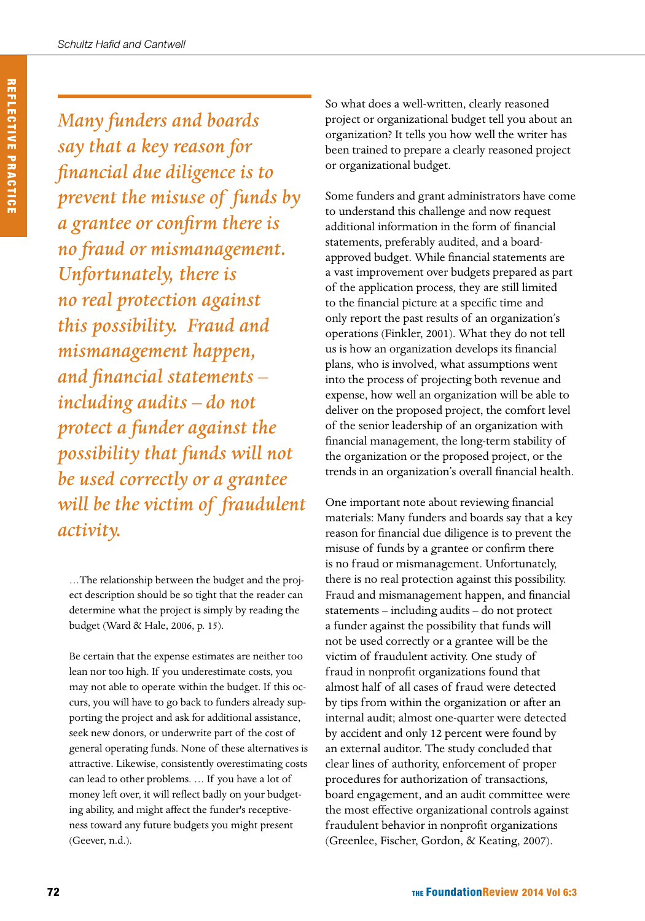*Many funders and boards say that a key reason for financial due diligence is to prevent the misuse of funds by a grantee or confirm there is no fraud or mismanagement. Unfortunately, there is no real protection against this possibility. Fraud and mismanagement happen, and financial statements – including audits – do not protect a funder against the possibility that funds will not be used correctly or a grantee will be the victim of fraudulent activity.*

…The relationship between the budget and the project description should be so tight that the reader can determine what the project is simply by reading the budget (Ward & Hale, 2006, p. 15).

Be certain that the expense estimates are neither too lean nor too high. If you underestimate costs, you may not able to operate within the budget. If this occurs, you will have to go back to funders already supporting the project and ask for additional assistance, seek new donors, or underwrite part of the cost of general operating funds. None of these alternatives is attractive. Likewise, consistently overestimating costs can lead to other problems. … If you have a lot of money left over, it will reflect badly on your budgeting ability, and might affect the funder's receptiveness toward any future budgets you might present (Geever, n.d.).

So what does a well-written, clearly reasoned project or organizational budget tell you about an organization? It tells you how well the writer has been trained to prepare a clearly reasoned project or organizational budget.

Some funders and grant administrators have come to understand this challenge and now request additional information in the form of financial statements, preferably audited, and a boardapproved budget. While financial statements are a vast improvement over budgets prepared as part of the application process, they are still limited to the financial picture at a specific time and only report the past results of an organization's operations (Finkler, 2001). What they do not tell us is how an organization develops its financial plans, who is involved, what assumptions went into the process of projecting both revenue and expense, how well an organization will be able to deliver on the proposed project, the comfort level of the senior leadership of an organization with financial management, the long-term stability of the organization or the proposed project, or the trends in an organization's overall financial health.

One important note about reviewing financial materials: Many funders and boards say that a key reason for financial due diligence is to prevent the misuse of funds by a grantee or confirm there is no fraud or mismanagement. Unfortunately, there is no real protection against this possibility. Fraud and mismanagement happen, and financial statements – including audits – do not protect a funder against the possibility that funds will not be used correctly or a grantee will be the victim of fraudulent activity. One study of fraud in nonprofit organizations found that almost half of all cases of fraud were detected by tips from within the organization or after an internal audit; almost one-quarter were detected by accident and only 12 percent were found by an external auditor. The study concluded that clear lines of authority, enforcement of proper procedures for authorization of transactions, board engagement, and an audit committee were the most effective organizational controls against fraudulent behavior in nonprofit organizations (Greenlee, Fischer, Gordon, & Keating, 2007).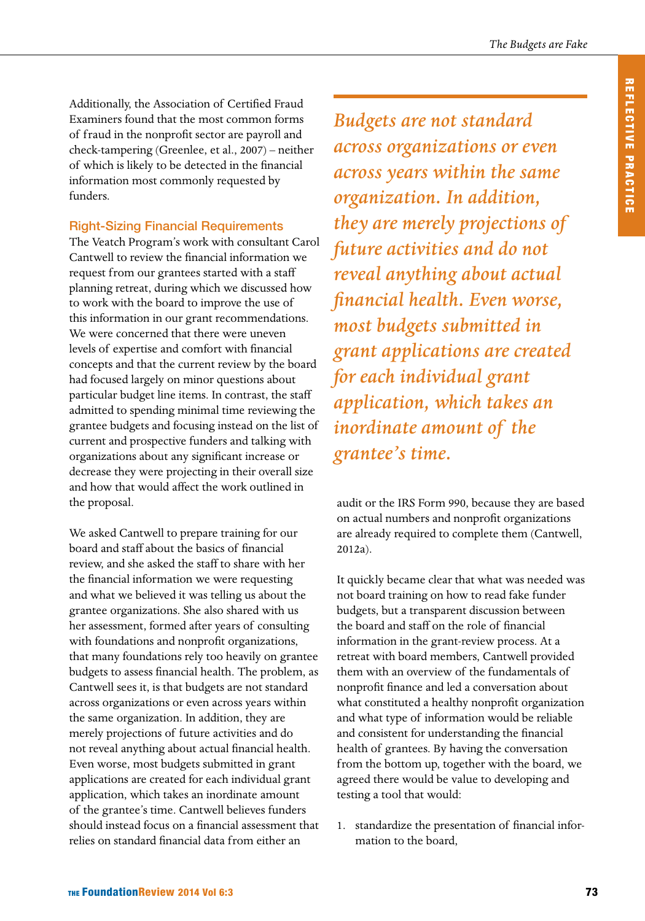Additionally, the Association of Certified Fraud Examiners found that the most common forms of fraud in the nonprofit sector are payroll and check-tampering (Greenlee, et al., 2007) – neither of which is likely to be detected in the financial information most commonly requested by funders.

#### Right-Sizing Financial Requirements

The Veatch Program's work with consultant Carol Cantwell to review the financial information we request from our grantees started with a staff planning retreat, during which we discussed how to work with the board to improve the use of this information in our grant recommendations. We were concerned that there were uneven levels of expertise and comfort with financial concepts and that the current review by the board had focused largely on minor questions about particular budget line items. In contrast, the staff admitted to spending minimal time reviewing the grantee budgets and focusing instead on the list of current and prospective funders and talking with organizations about any significant increase or decrease they were projecting in their overall size and how that would affect the work outlined in the proposal.

We asked Cantwell to prepare training for our board and staff about the basics of financial review, and she asked the staff to share with her the financial information we were requesting and what we believed it was telling us about the grantee organizations. She also shared with us her assessment, formed after years of consulting with foundations and nonprofit organizations, that many foundations rely too heavily on grantee budgets to assess financial health. The problem, as Cantwell sees it, is that budgets are not standard across organizations or even across years within the same organization. In addition, they are merely projections of future activities and do not reveal anything about actual financial health. Even worse, most budgets submitted in grant applications are created for each individual grant application, which takes an inordinate amount of the grantee's time. Cantwell believes funders should instead focus on a financial assessment that relies on standard financial data from either an

*Budgets are not standard across organizations or even across years within the same organization. In addition, they are merely projections of future activities and do not reveal anything about actual financial health. Even worse, most budgets submitted in grant applications are created for each individual grant application, which takes an inordinate amount of the grantee's time.*

audit or the IRS Form 990, because they are based on actual numbers and nonprofit organizations are already required to complete them (Cantwell, 2012a).

It quickly became clear that what was needed was not board training on how to read fake funder budgets, but a transparent discussion between the board and staff on the role of financial information in the grant-review process. At a retreat with board members, Cantwell provided them with an overview of the fundamentals of nonprofit finance and led a conversation about what constituted a healthy nonprofit organization and what type of information would be reliable and consistent for understanding the financial health of grantees. By having the conversation from the bottom up, together with the board, we agreed there would be value to developing and testing a tool that would:

1. standardize the presentation of financial information to the board,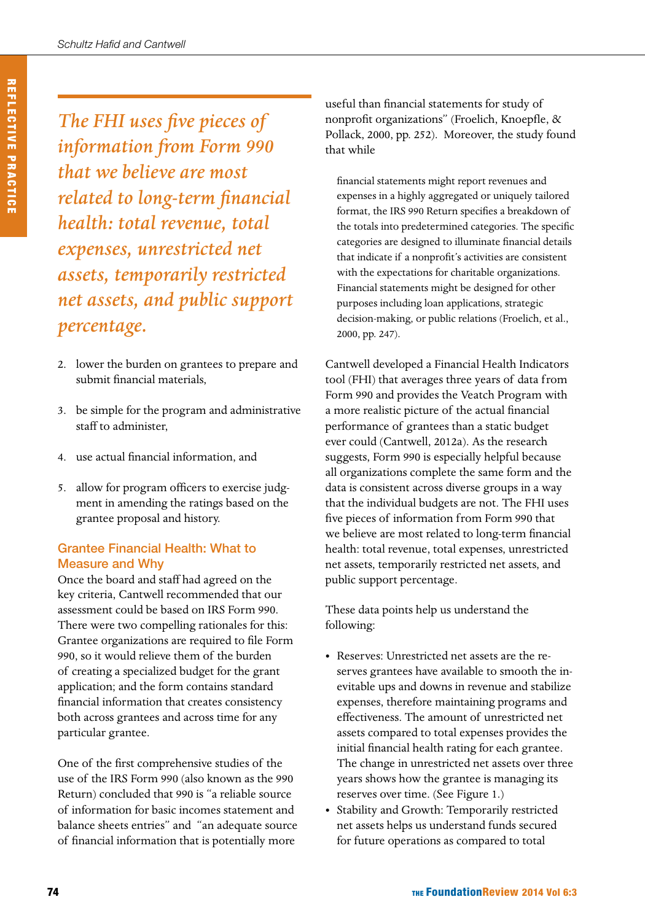*The FHI uses five pieces of information from Form 990 that we believe are most related to long-term financial health: total revenue, total expenses, unrestricted net assets, temporarily restricted net assets, and public support percentage.*

- 2. lower the burden on grantees to prepare and submit financial materials,
- 3. be simple for the program and administrative staff to administer,
- 4. use actual financial information, and
- 5. allow for program officers to exercise judgment in amending the ratings based on the grantee proposal and history.

### Grantee Financial Health: What to Measure and Why

Once the board and staff had agreed on the key criteria, Cantwell recommended that our assessment could be based on IRS Form 990. There were two compelling rationales for this: Grantee organizations are required to file Form 990, so it would relieve them of the burden of creating a specialized budget for the grant application; and the form contains standard financial information that creates consistency both across grantees and across time for any particular grantee.

One of the first comprehensive studies of the use of the IRS Form 990 (also known as the 990 Return) concluded that 990 is "a reliable source of information for basic incomes statement and balance sheets entries" and "an adequate source of financial information that is potentially more

useful than financial statements for study of nonprofit organizations" (Froelich, Knoepfle, & Pollack, 2000, pp. 252). Moreover, the study found that while

financial statements might report revenues and expenses in a highly aggregated or uniquely tailored format, the IRS 990 Return specifies a breakdown of the totals into predetermined categories. The specific categories are designed to illuminate financial details that indicate if a nonprofit's activities are consistent with the expectations for charitable organizations. Financial statements might be designed for other purposes including loan applications, strategic decision-making, or public relations (Froelich, et al., 2000, pp. 247).

Cantwell developed a Financial Health Indicators tool (FHI) that averages three years of data from Form 990 and provides the Veatch Program with a more realistic picture of the actual financial performance of grantees than a static budget ever could (Cantwell, 2012a). As the research suggests, Form 990 is especially helpful because all organizations complete the same form and the data is consistent across diverse groups in a way that the individual budgets are not. The FHI uses five pieces of information from Form 990 that we believe are most related to long-term financial health: total revenue, total expenses, unrestricted net assets, temporarily restricted net assets, and public support percentage.

These data points help us understand the following:

- Reserves: Unrestricted net assets are the reserves grantees have available to smooth the inevitable ups and downs in revenue and stabilize expenses, therefore maintaining programs and effectiveness. The amount of unrestricted net assets compared to total expenses provides the initial financial health rating for each grantee. The change in unrestricted net assets over three years shows how the grantee is managing its reserves over time. (See Figure 1.)
- Stability and Growth: Temporarily restricted net assets helps us understand funds secured for future operations as compared to total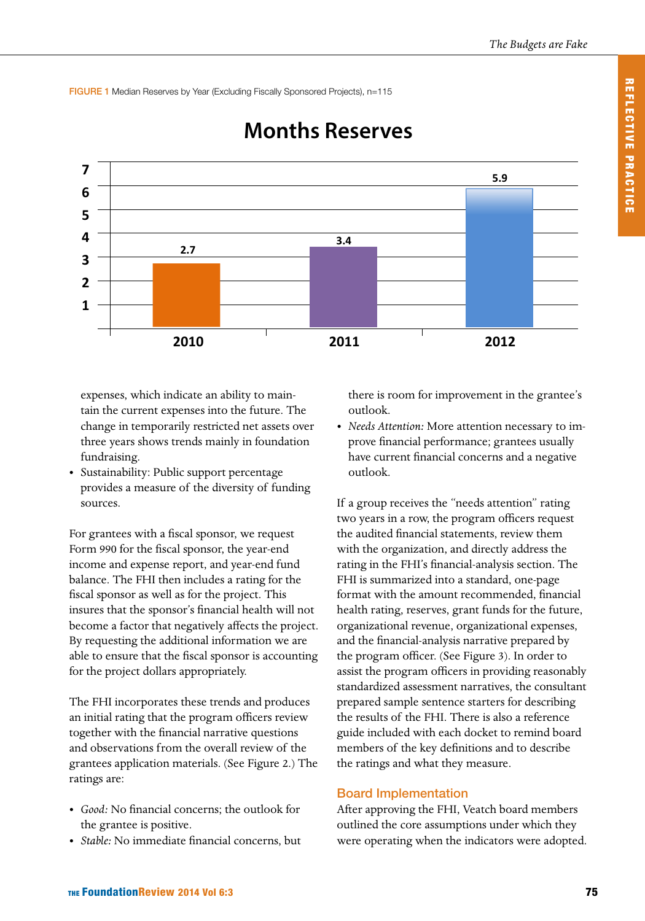FIGURE 1 Median Reserves by Year (Excluding Fiscally Sponsored Projects), n=115



# **Mths Reserves Months Reserves**

expenses, which indicate an ability to maintain the current expenses into the future. The change in temporarily restricted net assets over three years shows trends mainly in foundation fundraising.

• Sustainability: Public support percentage provides a measure of the diversity of funding sources.

For grantees with a fiscal sponsor, we request Form 990 for the fiscal sponsor, the year-end income and expense report, and year-end fund balance. The FHI then includes a rating for the fiscal sponsor as well as for the project. This insures that the sponsor's financial health will not become a factor that negatively affects the project. By requesting the additional information we are able to ensure that the fiscal sponsor is accounting for the project dollars appropriately.

The FHI incorporates these trends and produces an initial rating that the program officers review together with the financial narrative questions and observations from the overall review of the grantees application materials. (See Figure 2.) The ratings are:

- *• Good:* No financial concerns; the outlook for the grantee is positive.
- *• Stable:* No immediate financial concerns, but

there is room for improvement in the grantee's outlook.

*• Needs Attention:* More attention necessary to improve financial performance; grantees usually have current financial concerns and a negative outlook.

If a group receives the "needs attention" rating two years in a row, the program officers request the audited financial statements, review them with the organization, and directly address the rating in the FHI's financial-analysis section. The FHI is summarized into a standard, one-page format with the amount recommended, financial health rating, reserves, grant funds for the future, organizational revenue, organizational expenses, and the financial-analysis narrative prepared by the program officer. (See Figure 3). In order to assist the program officers in providing reasonably standardized assessment narratives, the consultant prepared sample sentence starters for describing the results of the FHI. There is also a reference guide included with each docket to remind board members of the key definitions and to describe the ratings and what they measure.

#### Board Implementation

After approving the FHI, Veatch board members outlined the core assumptions under which they were operating when the indicators were adopted.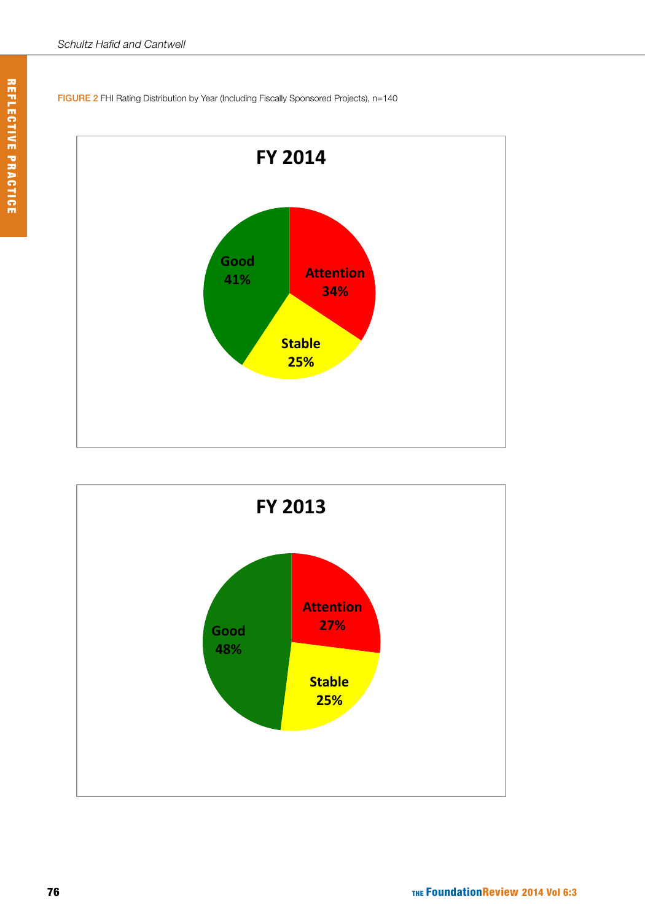



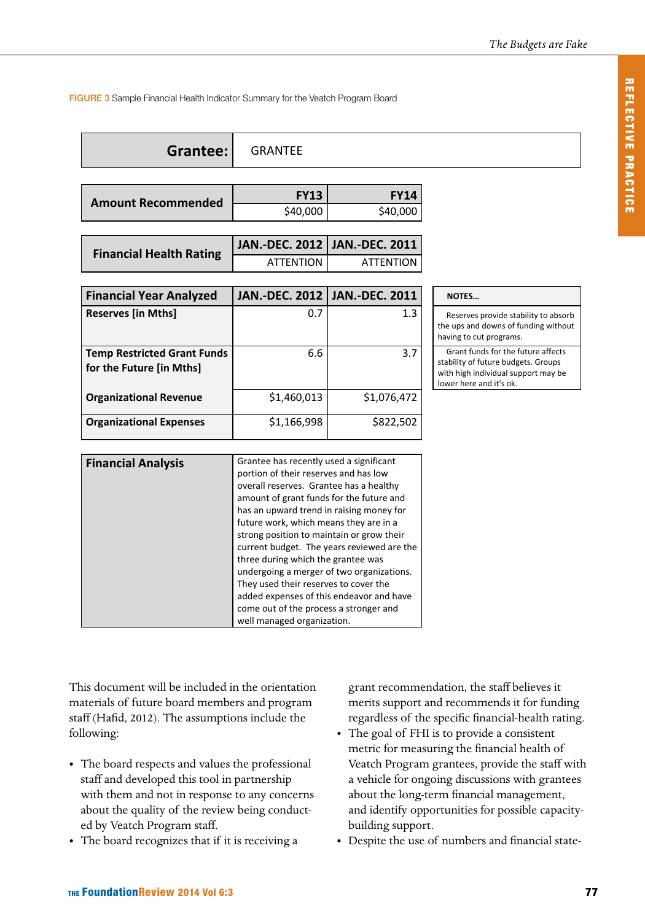#### FIGURE 3 Sample Financial Health Indicator Summary for the Veatch Program Board

| <b>Grantee:</b> GRANTEE |
|-------------------------|
|                         |

| <b>Amount Recommended</b> | <b>FY13</b> | <b>FY14</b> |
|---------------------------|-------------|-------------|
|                           | \$40,000    | \$40,000    |
|                           |             |             |

| <b>Financial Health Rating</b> | JAN.-DEC. 2012   JAN.-DEC. 2011 |           |
|--------------------------------|---------------------------------|-----------|
|                                | ATTENTION                       | ATTENTION |

| <b>Financial Year Analyzed</b>                                 |             | JAN.-DEC. 2012   JAN.-DEC. 2011 | <b>NOTES</b>                                              |
|----------------------------------------------------------------|-------------|---------------------------------|-----------------------------------------------------------|
| <b>Reserves [in Mths]</b>                                      | 0.7         | 1.3                             | Reserves<br>the ups and<br>having to cu                   |
| <b>Temp Restricted Grant Funds</b><br>for the Future [in Mths] | 6.6         | 3.7                             | Grant fur<br>stability of f<br>with high in<br>lower here |
| <b>Organizational Revenue</b>                                  | \$1,460,013 | \$1,076,472                     |                                                           |
| <b>Organizational Expenses</b>                                 | \$1,166,998 | \$822,502                       |                                                           |

Reserves provide stability to absorb the ups and downs of funding without having to cut programs.

Grant funds for the future affects stability of future budgets. Groups with high individual support may be lower here and it's ok.

| <b>Financial Analysis</b> | Grantee has recently used a significant<br>portion of their reserves and has low<br>overall reserves. Grantee has a healthy<br>amount of grant funds for the future and<br>has an upward trend in raising money for<br>future work, which means they are in a<br>strong position to maintain or grow their<br>three during which the grantee was<br>undergoing a merger of two organizations.<br>They used their reserves to cover the |
|---------------------------|----------------------------------------------------------------------------------------------------------------------------------------------------------------------------------------------------------------------------------------------------------------------------------------------------------------------------------------------------------------------------------------------------------------------------------------|
|                           | current budget. The years reviewed are the                                                                                                                                                                                                                                                                                                                                                                                             |
|                           |                                                                                                                                                                                                                                                                                                                                                                                                                                        |
|                           |                                                                                                                                                                                                                                                                                                                                                                                                                                        |
|                           | added expenses of this endeavor and have                                                                                                                                                                                                                                                                                                                                                                                               |
|                           | come out of the process a stronger and                                                                                                                                                                                                                                                                                                                                                                                                 |
|                           | well managed organization.                                                                                                                                                                                                                                                                                                                                                                                                             |

This document will be included in the orientation materials of future board members and program staff (Hafid, 2012). The assumptions include the following:

- The board respects and values the professional staff and developed this tool in partnership with them and not in response to any concerns about the quality of the review being conducted by Veatch Program staff.
- The board recognizes that if it is receiving a

grant recommendation, the staff believes it merits support and recommends it for funding regardless of the specific financial-health rating.

- The goal of FHI is to provide a consistent metric for measuring the financial health of Veatch Program grantees, provide the staff with a vehicle for ongoing discussions with grantees about the long-term financial management, and identify opportunities for possible capacitybuilding support.
- Despite the use of numbers and financial state-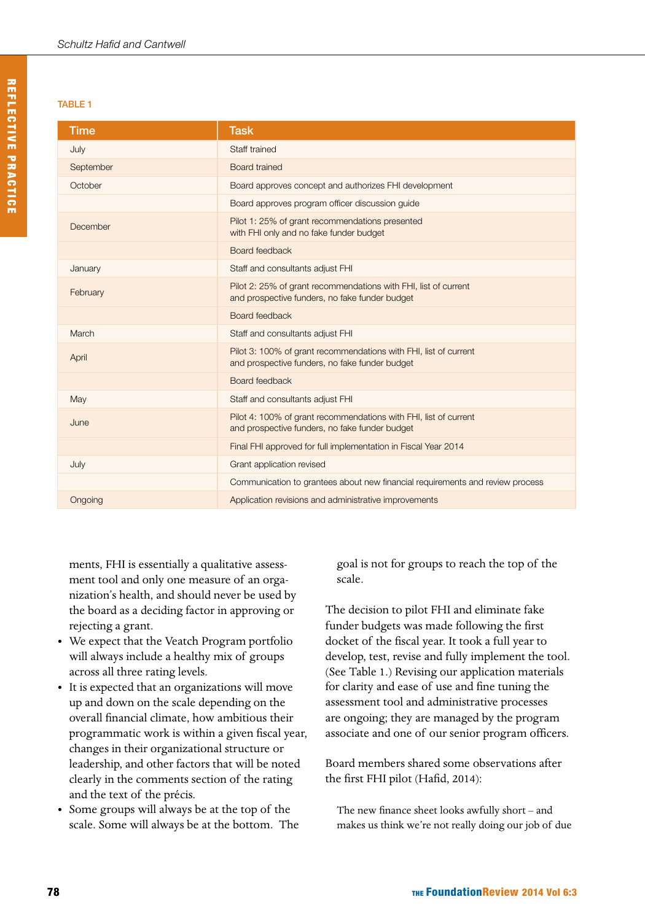#### TABLE 1

| <b>Time</b> | <b>Task</b>                                                                                                        |
|-------------|--------------------------------------------------------------------------------------------------------------------|
| July        | Staff trained                                                                                                      |
| September   | <b>Board trained</b>                                                                                               |
| October     | Board approves concept and authorizes FHI development                                                              |
|             | Board approves program officer discussion quide                                                                    |
| December    | Pilot 1: 25% of grant recommendations presented<br>with FHI only and no fake funder budget                         |
|             | Board feedback                                                                                                     |
| January     | Staff and consultants adjust FHI                                                                                   |
| February    | Pilot 2: 25% of grant recommendations with FHI, list of current<br>and prospective funders, no fake funder budget  |
|             | Board feedback                                                                                                     |
| March       | Staff and consultants adjust FHI                                                                                   |
| April       | Pilot 3: 100% of grant recommendations with FHI, list of current<br>and prospective funders, no fake funder budget |
|             | Board feedback                                                                                                     |
| May         | Staff and consultants adjust FHI                                                                                   |
| June        | Pilot 4: 100% of grant recommendations with FHI, list of current<br>and prospective funders, no fake funder budget |
|             | Final FHI approved for full implementation in Fiscal Year 2014                                                     |
| July        | Grant application revised                                                                                          |
|             | Communication to grantees about new financial requirements and review process                                      |
| Ongoing     | Application revisions and administrative improvements                                                              |

ments, FHI is essentially a qualitative assessment tool and only one measure of an organization's health, and should never be used by the board as a deciding factor in approving or rejecting a grant.

- We expect that the Veatch Program portfolio will always include a healthy mix of groups across all three rating levels.
- • It is expected that an organizations will move up and down on the scale depending on the overall financial climate, how ambitious their programmatic work is within a given fiscal year, changes in their organizational structure or leadership, and other factors that will be noted clearly in the comments section of the rating and the text of the précis.
- • Some groups will always be at the top of the scale. Some will always be at the bottom. The

goal is not for groups to reach the top of the scale.

The decision to pilot FHI and eliminate fake funder budgets was made following the first docket of the fiscal year. It took a full year to develop, test, revise and fully implement the tool. (See Table 1.) Revising our application materials for clarity and ease of use and fine tuning the assessment tool and administrative processes are ongoing; they are managed by the program associate and one of our senior program officers.

Board members shared some observations after the first FHI pilot (Hafid, 2014):

The new finance sheet looks awfully short – and makes us think we're not really doing our job of due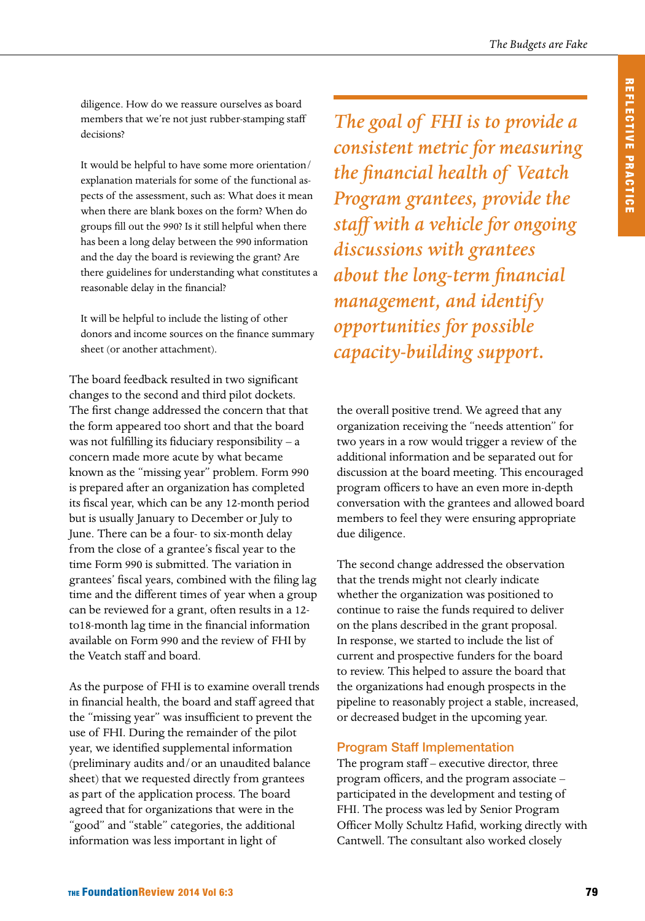diligence. How do we reassure ourselves as board members that we're not just rubber-stamping staff decisions?

It would be helpful to have some more orientation/ explanation materials for some of the functional aspects of the assessment, such as: What does it mean when there are blank boxes on the form? When do groups fill out the 990? Is it still helpful when there has been a long delay between the 990 information and the day the board is reviewing the grant? Are there guidelines for understanding what constitutes a reasonable delay in the financial?

It will be helpful to include the listing of other donors and income sources on the finance summary sheet (or another attachment).

The board feedback resulted in two significant changes to the second and third pilot dockets. The first change addressed the concern that that the form appeared too short and that the board was not fulfilling its fiduciary responsibility – a concern made more acute by what became known as the "missing year" problem. Form 990 is prepared after an organization has completed its fiscal year, which can be any 12-month period but is usually January to December or July to June. There can be a four- to six-month delay from the close of a grantee's fiscal year to the time Form 990 is submitted. The variation in grantees' fiscal years, combined with the filing lag time and the different times of year when a group can be reviewed for a grant, often results in a 12 to18-month lag time in the financial information available on Form 990 and the review of FHI by the Veatch staff and board.

As the purpose of FHI is to examine overall trends in financial health, the board and staff agreed that the "missing year" was insufficient to prevent the use of FHI. During the remainder of the pilot year, we identified supplemental information (preliminary audits and/or an unaudited balance sheet) that we requested directly from grantees as part of the application process. The board agreed that for organizations that were in the "good" and "stable" categories, the additional information was less important in light of

*The goal of FHI is to provide a consistent metric for measuring the financial health of Veatch Program grantees, provide the staff with a vehicle for ongoing discussions with grantees about the long-term financial management, and identify opportunities for possible capacity-building support.*

the overall positive trend. We agreed that any organization receiving the "needs attention" for two years in a row would trigger a review of the additional information and be separated out for discussion at the board meeting. This encouraged program officers to have an even more in-depth conversation with the grantees and allowed board members to feel they were ensuring appropriate due diligence.

The second change addressed the observation that the trends might not clearly indicate whether the organization was positioned to continue to raise the funds required to deliver on the plans described in the grant proposal. In response, we started to include the list of current and prospective funders for the board to review. This helped to assure the board that the organizations had enough prospects in the pipeline to reasonably project a stable, increased, or decreased budget in the upcoming year.

#### Program Staff Implementation

The program staff – executive director, three program officers, and the program associate – participated in the development and testing of FHI. The process was led by Senior Program Officer Molly Schultz Hafid, working directly with Cantwell. The consultant also worked closely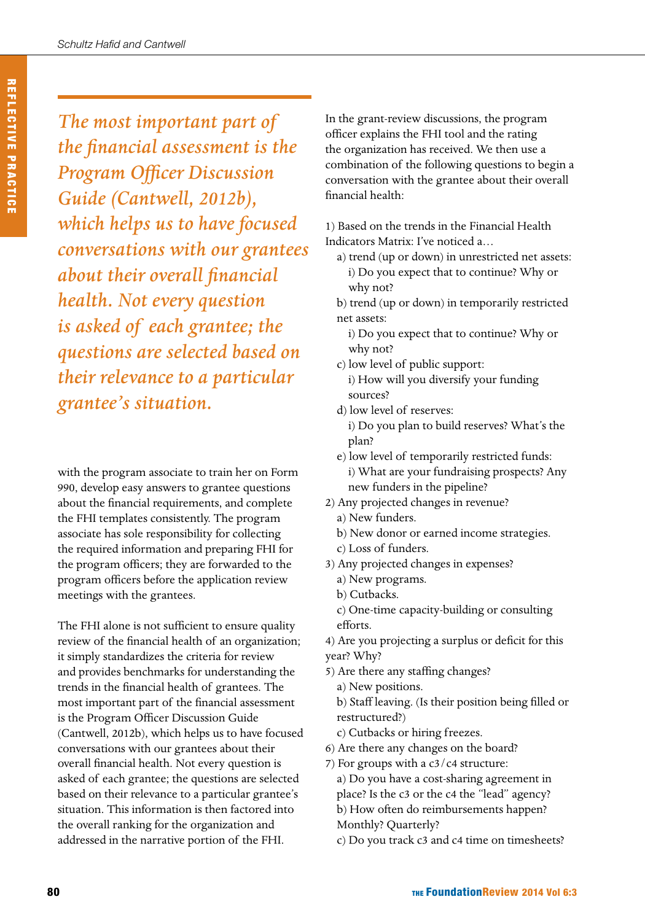*The most important part of the financial assessment is the Program Officer Discussion Guide (Cantwell, 2012b), which helps us to have focused conversations with our grantees about their overall financial health. Not every question is asked of each grantee; the questions are selected based on their relevance to a particular grantee's situation.*

with the program associate to train her on Form 990, develop easy answers to grantee questions about the financial requirements, and complete the FHI templates consistently. The program associate has sole responsibility for collecting the required information and preparing FHI for the program officers; they are forwarded to the program officers before the application review meetings with the grantees.

The FHI alone is not sufficient to ensure quality review of the financial health of an organization; it simply standardizes the criteria for review and provides benchmarks for understanding the trends in the financial health of grantees. The most important part of the financial assessment is the Program Officer Discussion Guide (Cantwell, 2012b), which helps us to have focused conversations with our grantees about their overall financial health. Not every question is asked of each grantee; the questions are selected based on their relevance to a particular grantee's situation. This information is then factored into the overall ranking for the organization and addressed in the narrative portion of the FHI.

In the grant-review discussions, the program officer explains the FHI tool and the rating the organization has received. We then use a combination of the following questions to begin a conversation with the grantee about their overall financial health:

1) Based on the trends in the Financial Health Indicators Matrix: I've noticed a…

- a) trend (up or down) in unrestricted net assets: i) Do you expect that to continue? Why or why not?
- b) trend (up or down) in temporarily restricted net assets:
	- i) Do you expect that to continue? Why or why not?
- c) low level of public support: i) How will you diversify your funding sources?
- d) low level of reserves:

i) Do you plan to build reserves? What's the plan?

- e) low level of temporarily restricted funds: i) What are your fundraising prospects? Any new funders in the pipeline?
- 2) Any projected changes in revenue?
	- a) New funders.
	- b) New donor or earned income strategies.
	- c) Loss of funders.
- 3) Any projected changes in expenses?
	- a) New programs.
	- b) Cutbacks.
	- c) One-time capacity-building or consulting efforts.

4) Are you projecting a surplus or deficit for this year? Why?

- 5) Are there any staffing changes? a) New positions. b) Staff leaving. (Is their position being filled or
	- restructured?)
	- c) Cutbacks or hiring freezes.
- 6) Are there any changes on the board?
- 7) For groups with a  $c3/c4$  structure: a) Do you have a cost-sharing agreement in place? Is the c3 or the c4 the "lead" agency? b) How often do reimbursements happen? Monthly? Quarterly?
	- c) Do you track c3 and c4 time on timesheets?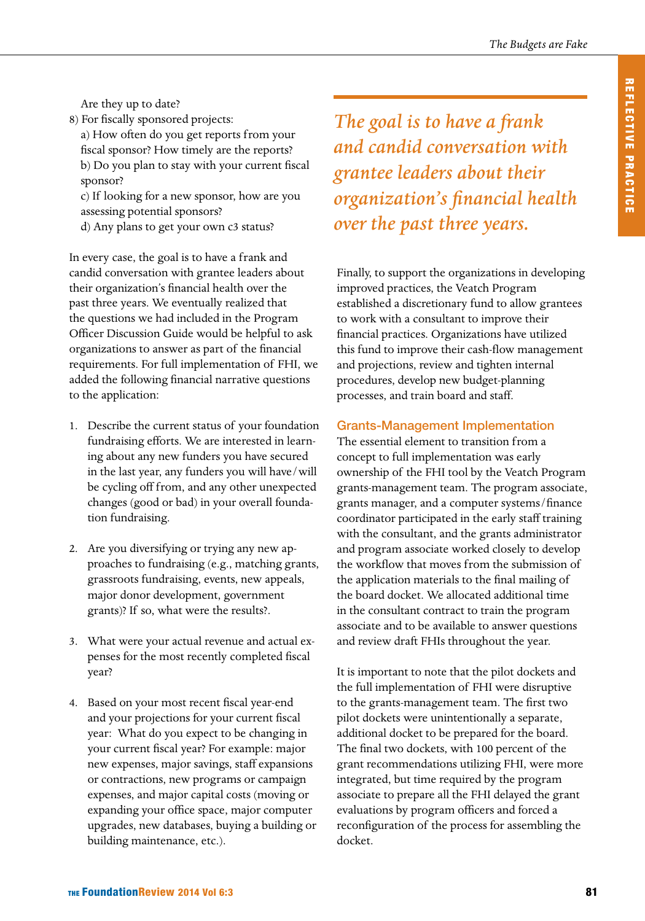Are they up to date?

- 8) For fiscally sponsored projects:
	- a) How often do you get reports from your fiscal sponsor? How timely are the reports? b) Do you plan to stay with your current fiscal sponsor?

c) If looking for a new sponsor, how are you assessing potential sponsors?

d) Any plans to get your own c3 status?

In every case, the goal is to have a frank and candid conversation with grantee leaders about their organization's financial health over the past three years. We eventually realized that the questions we had included in the Program Officer Discussion Guide would be helpful to ask organizations to answer as part of the financial requirements. For full implementation of FHI, we added the following financial narrative questions to the application:

- 1. Describe the current status of your foundation fundraising efforts. We are interested in learning about any new funders you have secured in the last year, any funders you will have/will be cycling off from, and any other unexpected changes (good or bad) in your overall foundation fundraising.
- 2. Are you diversifying or trying any new approaches to fundraising (e.g., matching grants, grassroots fundraising, events, new appeals, major donor development, government grants)? If so, what were the results?.
- 3. What were your actual revenue and actual expenses for the most recently completed fiscal year?
- 4. Based on your most recent fiscal year-end and your projections for your current fiscal year: What do you expect to be changing in your current fiscal year? For example: major new expenses, major savings, staff expansions or contractions, new programs or campaign expenses, and major capital costs (moving or expanding your office space, major computer upgrades, new databases, buying a building or building maintenance, etc.).

*The goal is to have a frank and candid conversation with grantee leaders about their organization's financial health over the past three years.*

Finally, to support the organizations in developing improved practices, the Veatch Program established a discretionary fund to allow grantees to work with a consultant to improve their financial practices. Organizations have utilized this fund to improve their cash-flow management and projections, review and tighten internal procedures, develop new budget-planning processes, and train board and staff.

### Grants-Management Implementation

The essential element to transition from a concept to full implementation was early ownership of the FHI tool by the Veatch Program grants-management team. The program associate, grants manager, and a computer systems/finance coordinator participated in the early staff training with the consultant, and the grants administrator and program associate worked closely to develop the workflow that moves from the submission of the application materials to the final mailing of the board docket. We allocated additional time in the consultant contract to train the program associate and to be available to answer questions and review draft FHIs throughout the year.

It is important to note that the pilot dockets and the full implementation of FHI were disruptive to the grants-management team. The first two pilot dockets were unintentionally a separate, additional docket to be prepared for the board. The final two dockets, with 100 percent of the grant recommendations utilizing FHI, were more integrated, but time required by the program associate to prepare all the FHI delayed the grant evaluations by program officers and forced a reconfiguration of the process for assembling the docket.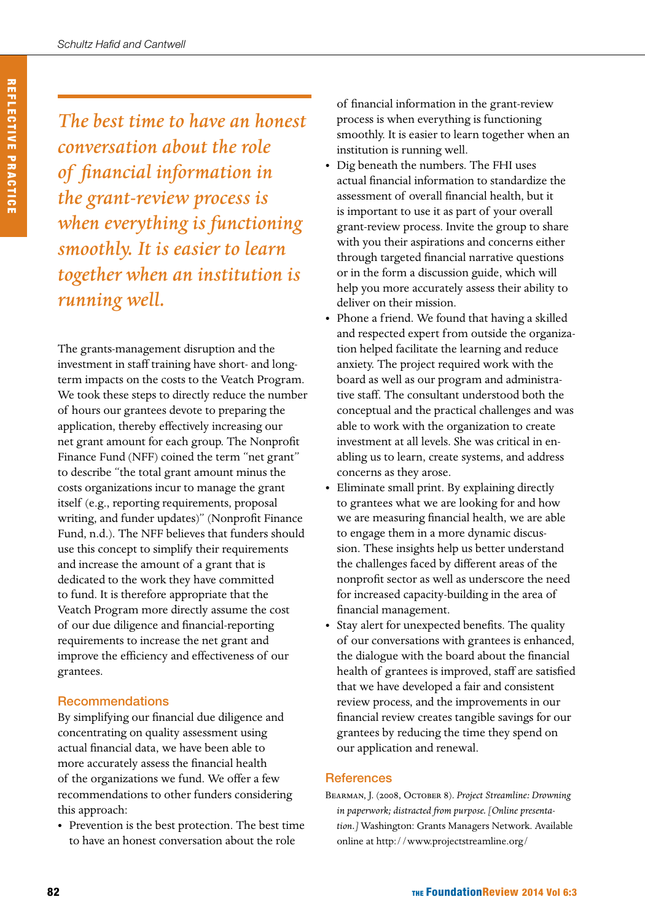*The best time to have an honest conversation about the role of financial information in the grant-review process is when everything is functioning smoothly. It is easier to learn together when an institution is running well.*

The grants-management disruption and the investment in staff training have short- and longterm impacts on the costs to the Veatch Program. We took these steps to directly reduce the number of hours our grantees devote to preparing the application, thereby effectively increasing our net grant amount for each group. The Nonprofit Finance Fund (NFF) coined the term "net grant" to describe "the total grant amount minus the costs organizations incur to manage the grant itself (e.g., reporting requirements, proposal writing, and funder updates)" (Nonprofit Finance Fund, n.d.). The NFF believes that funders should use this concept to simplify their requirements and increase the amount of a grant that is dedicated to the work they have committed to fund. It is therefore appropriate that the Veatch Program more directly assume the cost of our due diligence and financial-reporting requirements to increase the net grant and improve the efficiency and effectiveness of our grantees.

### Recommendations

By simplifying our financial due diligence and concentrating on quality assessment using actual financial data, we have been able to more accurately assess the financial health of the organizations we fund. We offer a few recommendations to other funders considering this approach:

• Prevention is the best protection. The best time to have an honest conversation about the role

of financial information in the grant-review process is when everything is functioning smoothly. It is easier to learn together when an institution is running well.

- Dig beneath the numbers. The FHI uses actual financial information to standardize the assessment of overall financial health, but it is important to use it as part of your overall grant-review process. Invite the group to share with you their aspirations and concerns either through targeted financial narrative questions or in the form a discussion guide, which will help you more accurately assess their ability to deliver on their mission.
- Phone a friend. We found that having a skilled and respected expert from outside the organization helped facilitate the learning and reduce anxiety. The project required work with the board as well as our program and administrative staff. The consultant understood both the conceptual and the practical challenges and was able to work with the organization to create investment at all levels. She was critical in enabling us to learn, create systems, and address concerns as they arose.
- Eliminate small print. By explaining directly to grantees what we are looking for and how we are measuring financial health, we are able to engage them in a more dynamic discussion. These insights help us better understand the challenges faced by different areas of the nonprofit sector as well as underscore the need for increased capacity-building in the area of financial management.
- Stay alert for unexpected benefits. The quality of our conversations with grantees is enhanced, the dialogue with the board about the financial health of grantees is improved, staff are satisfied that we have developed a fair and consistent review process, and the improvements in our financial review creates tangible savings for our grantees by reducing the time they spend on our application and renewal.

#### **References**

Bearman, J. (2008, October 8). *Project Streamline: Drowning in paperwork; distracted from purpose. [Online presentation.]* Washington: Grants Managers Network. Available online at [http://www.projectstreamline.org/](http://www.projectstreamline.org/presentations/drowning-paperwork-presentation)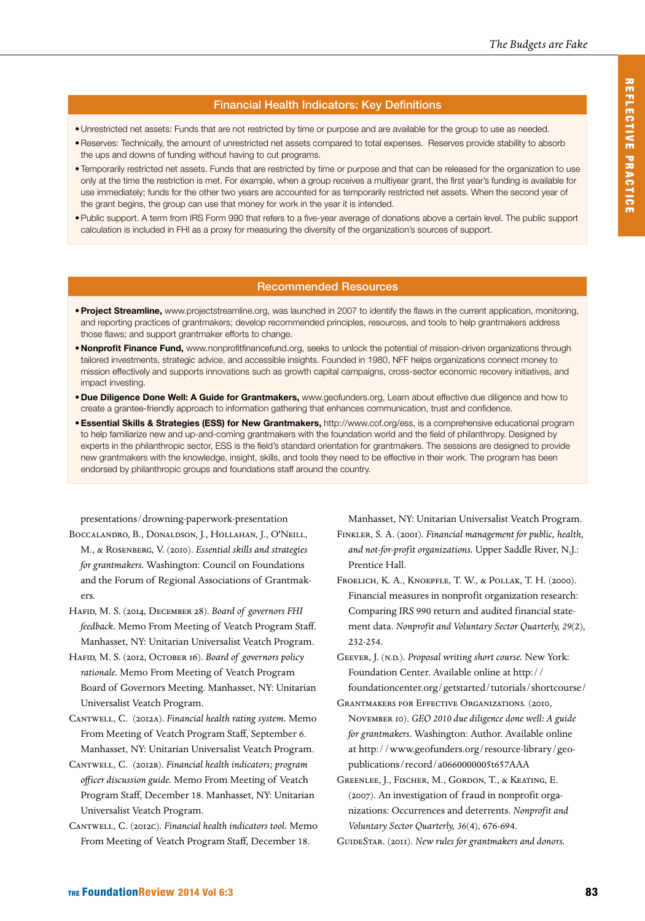#### Financial Health Indicators: Key Definitions

- • Unrestricted net assets: Funds that are not restricted by time or purpose and are available for the group to use as needed.
- · Reserves: Technically, the amount of unrestricted net assets compared to total expenses. Reserves provide stability to absorb the ups and downs of funding without having to cut programs.
- Temporarily restricted net assets. Funds that are restricted by time or purpose and that can be released for the organization to use only at the time the restriction is met. For example, when a group receives a multiyear grant, the first year's funding is available for use immediately; funds for the other two years are accounted for as temporarily restricted net assets. When the second year of the grant begins, the group can use that money for work in the year it is intended.
- • Public support. A term from IRS Form 990 that refers to a five-year average of donations above a certain level. The public support calculation is included in FHI as a proxy for measuring the diversity of the organization's sources of support.

#### Recommended Resources

- **Project Streamline,** [www.projectstreamline.org](http://projectstreamline.org/), was launched in 2007 to identify the flaws in the current application, monitoring, and reporting practices of grantmakers; develop recommended principles, resources, and tools to help grantmakers address those flaws; and support grantmaker efforts to change.
- . Nonprofit Finance Fund, [www.nonprofitfinancefund.org,](%20http://www.nonprofitfinancefund.org) seeks to unlock the potential of mission-driven organizations through tailored investments, strategic advice, and accessible insights. Founded in 1980, NFF helps organizations connect money to mission effectively and supports innovations such as growth capital campaigns, cross-sector economic recovery initiatives, and impact investing.
- • Due Diligence Done Well: A Guide for Grantmakers, [www.geofunders.org,](http://www.geofunders.org) Learn about effective due diligence and how to create a grantee-friendly approach to information gathering that enhances communication, trust and confidence.
- **Essential Skills & Strategies (ESS) for New Grantmakers, [http://www.cof.org/ess,](http://www.cof.org/ess) is a comprehensive educational program** to help familiarize new and up-and-coming grantmakers with the foundation world and the field of philanthropy. Designed by experts in the philanthropic sector, ESS is the field's standard orientation for grantmakers. The sessions are designed to provide new grantmakers with the knowledge, insight, skills, and tools they need to be effective in their work. The program has been endorsed by philanthropic groups and foundations staff around the country.

[presentations/drowning-paperwork-presentation](http://www.projectstreamline.org/presentations/drowning-paperwork-presentation)

- Boccalandro, B., Donaldson, J., Hollahan, J., O'Neill, M., & Rosenberg, V. (2010). *Essential skills and strategies for grantmakers.* Washington: Council on Foundations and the Forum of Regional Associations of Grantmakers.
- Hafid, M. S. (2014, December 28). *Board of governors FHI feedback.* Memo From Meeting of Veatch Program Staff. Manhasset, NY: Unitarian Universalist Veatch Program.
- Hafid, M. S. (2012, October 16). *Board of governors policy rationale.* Memo From Meeting of Veatch Program Board of Governors Meeting. Manhasset, NY: Unitarian Universalist Veatch Program.
- Cantwell, C. (2012a). *Financial health rating system.* Memo From Meeting of Veatch Program Staff, September 6. Manhasset, NY: Unitarian Universalist Veatch Program.
- Cantwell, C. (2012b). *Financial health indicators; program officer discussion guide.* Memo From Meeting of Veatch Program Staff, December 18. Manhasset, NY: Unitarian Universalist Veatch Program.
- Cantwell, C. (2012c). *Financial health indicators tool.* Memo From Meeting of Veatch Program Staff, December 18.
- Manhasset, NY: Unitarian Universalist Veatch Program. Finkler, S. A. (2001). *Financial management for public, health, and not-for-profit organizations.* Upper Saddle River, N.J.: Prentice Hall.
- Froelich, K. A., Knoepfle, T. W., & Pollak, T. H. (2000). Financial measures in nonprofit organization research: Comparing IRS 990 return and audited financial statement data. *Nonprofit and Voluntary Sector Quarterly, 29*(2), 232-254.
- Geever, J. (n.d.). *Proposal writing short course.* New York: Foundation Center. Available online at [http://](http://foundationcenter.org/getstarted/tutorials/shortcourse/) [foundationcenter.org/getstarted/tutorials/shortcourse/](http://foundationcenter.org/getstarted/tutorials/shortcourse/)
- Grantmakers for Effective Organizations. (2010, November 10). *GEO 2010 due diligence done well: A guide for grantmakers.* Washington: Author. Available online at [http://www.geofunders.org/resource-library/geo](http://www.geofunders.org/resource-library/all/record/a0660000005t657AAA)[publications/record/a0660000005t657AAA](http://www.geofunders.org/resource-library/all/record/a0660000005t657AAA)
- Greenlee, J., Fischer, M., Gordon, T., & Keating, E. (2007). An investigation of fraud in nonprofit organizations: Occurrences and deterrents. *Nonprofit and Voluntary Sector Quarterly, 36*(4), 676-694.

GuideStar. (2011). *New rules for grantmakers and donors.*